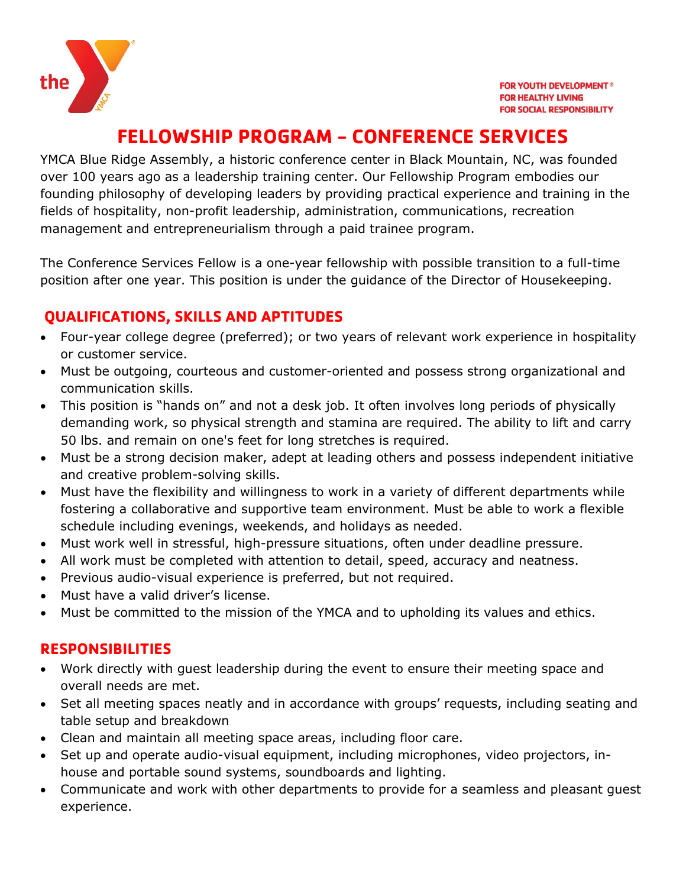

# **FELLOWSHIP PROGRAM - CONFERENCE SERVICES**

YMCA Blue Ridge Assembly, a historic conference center in Black Mountain, NC, was founded over 100 years ago as a leadership training center. Our Fellowship Program embodies our founding philosophy of developing leaders by providing practical experience and training in the fields of hospitality, non-profit leadership, administration, communications, recreation management and entrepreneurialism through a paid trainee program.

The Conference Services Fellow is a one-year fellowship with possible transition to a full-time position after one year. This position is under the guidance of the Director of Housekeeping.

## **QUALIFICATIONS, SKILLS AND APTITUDES**

- Four-year college degree (preferred); or two years of relevant work experience in hospitality or customer service.
- Must be outgoing, courteous and customer-oriented and possess strong organizational and communication skills.
- This position is "hands on" and not a desk job. It often involves long periods of physically demanding work, so physical strength and stamina are required. The ability to lift and carry 50 lbs. and remain on one's feet for long stretches is required.
- Must be a strong decision maker, adept at leading others and possess independent initiative and creative problem-solving skills.
- Must have the flexibility and willingness to work in a variety of different departments while fostering a collaborative and supportive team environment. Must be able to work a flexible schedule including evenings, weekends, and holidays as needed.
- Must work well in stressful, high-pressure situations, often under deadline pressure.
- All work must be completed with attention to detail, speed, accuracy and neatness.
- Previous audio-visual experience is preferred, but not required.
- Must have a valid driver's license.
- Must be committed to the mission of the YMCA and to upholding its values and ethics.

#### **RESPONSIBILITIES**

- Work directly with guest leadership during the event to ensure their meeting space and overall needs are met.
- Set all meeting spaces neatly and in accordance with groups' requests, including seating and table setup and breakdown
- Clean and maintain all meeting space areas, including floor care.
- Set up and operate audio-visual equipment, including microphones, video projectors, inhouse and portable sound systems, soundboards and lighting.
- Communicate and work with other departments to provide for a seamless and pleasant guest experience.